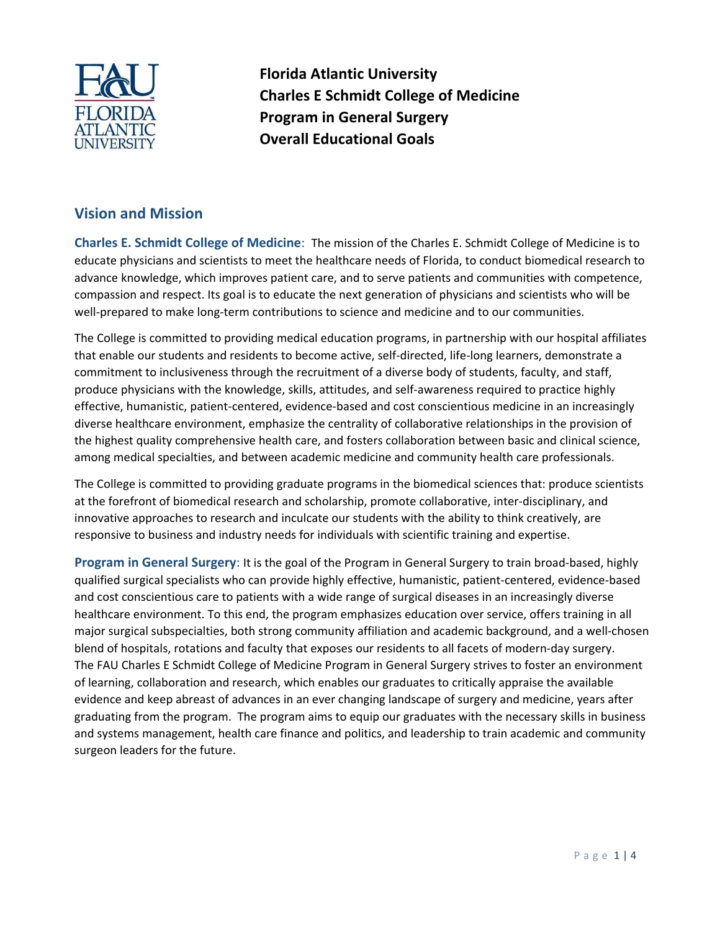

**Florida Atlantic University Charles E Schmidt College of Medicine Program in General Surgery Overall Educational Goals**

## **Vision and Mission**

**Charles E. Schmidt College of Medicine**: The mission of the Charles E. Schmidt College of Medicine is to educate physicians and scientists to meet the healthcare needs of Florida, to conduct biomedical research to advance knowledge, which improves patient care, and to serve patients and communities with competence, compassion and respect. Its goal is to educate the next generation of physicians and scientists who will be well-prepared to make long-term contributions to science and medicine and to our communities.

The College is committed to providing medical education programs, in partnership with our hospital affiliates that enable our students and residents to become active, self‐directed, life‐long learners, demonstrate a commitment to inclusiveness through the recruitment of a diverse body of students, faculty, and staff, produce physicians with the knowledge, skills, attitudes, and self‐awareness required to practice highly effective, humanistic, patient‐centered, evidence‐based and cost conscientious medicine in an increasingly diverse healthcare environment, emphasize the centrality of collaborative relationships in the provision of the highest quality comprehensive health care, and fosters collaboration between basic and clinical science, among medical specialties, and between academic medicine and community health care professionals.

The College is committed to providing graduate programs in the biomedical sciences that: produce scientists at the forefront of biomedical research and scholarship, promote collaborative, inter‐disciplinary, and innovative approaches to research and inculcate our students with the ability to think creatively, are responsive to business and industry needs for individuals with scientific training and expertise.

**Program in General Surgery**: It is the goal of the Program in General Surgery to train broad‐based, highly qualified surgical specialists who can provide highly effective, humanistic, patient‐centered, evidence‐based and cost conscientious care to patients with a wide range of surgical diseases in an increasingly diverse healthcare environment. To this end, the program emphasizes education over service, offers training in all major surgical subspecialties, both strong community affiliation and academic background, and a well‐chosen blend of hospitals, rotations and faculty that exposes our residents to all facets of modern‐day surgery. The FAU Charles E Schmidt College of Medicine Program in General Surgery strives to foster an environment of learning, collaboration and research, which enables our graduates to critically appraise the available evidence and keep abreast of advances in an ever changing landscape of surgery and medicine, years after graduating from the program. The program aims to equip our graduates with the necessary skills in business and systems management, health care finance and politics, and leadership to train academic and community surgeon leaders for the future.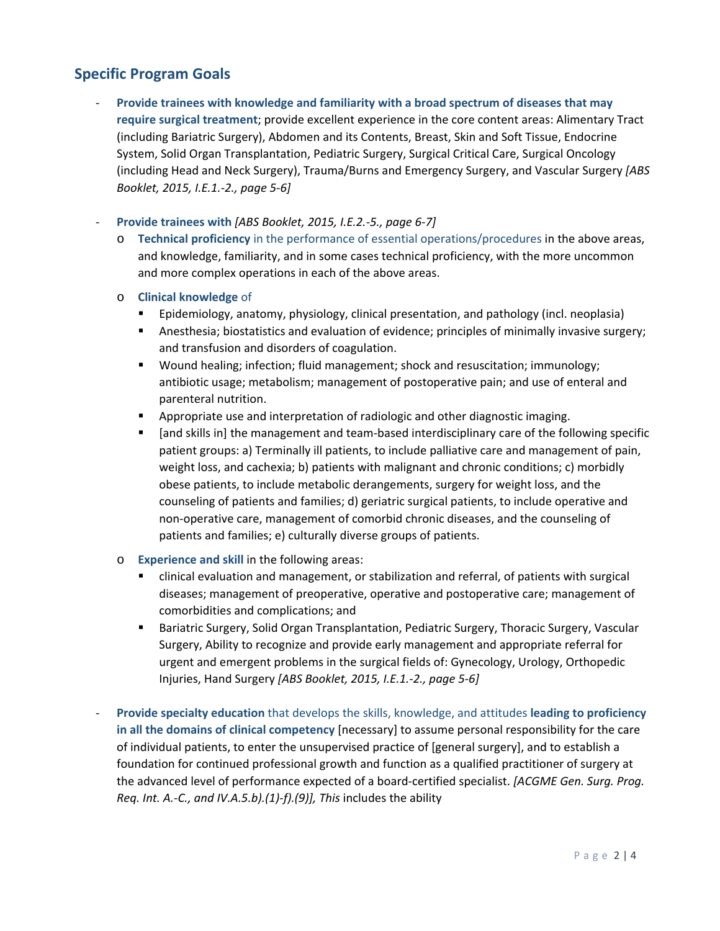## **Specific Program Goals**

- ‐ **Provide trainees with knowledge and familiarity with a broad spectrum of diseases that may require surgical treatment**; provide excellent experience in the core content areas: Alimentary Tract (including Bariatric Surgery), Abdomen and its Contents, Breast, Skin and Soft Tissue, Endocrine System, Solid Organ Transplantation, Pediatric Surgery, Surgical Critical Care, Surgical Oncology (including Head and Neck Surgery), Trauma/Burns and Emergency Surgery, and Vascular Surgery *[ABS Booklet, 2015, I.E.1.‐2., page 5‐6]*
- ‐ **Provide trainees with** *[ABS Booklet, 2015, I.E.2.‐5., page 6‐7]*
	- o **Technical proficiency** in the performance of essential operations/procedures in the above areas, and knowledge, familiarity, and in some cases technical proficiency, with the more uncommon and more complex operations in each of the above areas.
	- o **Clinical knowledge** of
		- Epidemiology, anatomy, physiology, clinical presentation, and pathology (incl. neoplasia)
		- Anesthesia; biostatistics and evaluation of evidence; principles of minimally invasive surgery; and transfusion and disorders of coagulation.
		- Wound healing; infection; fluid management; shock and resuscitation; immunology; antibiotic usage; metabolism; management of postoperative pain; and use of enteral and parenteral nutrition.
		- Appropriate use and interpretation of radiologic and other diagnostic imaging.
		- [and skills in] the management and team-based interdisciplinary care of the following specific patient groups: a) Terminally ill patients, to include palliative care and management of pain, weight loss, and cachexia; b) patients with malignant and chronic conditions; c) morbidly obese patients, to include metabolic derangements, surgery for weight loss, and the counseling of patients and families; d) geriatric surgical patients, to include operative and non‐operative care, management of comorbid chronic diseases, and the counseling of patients and families; e) culturally diverse groups of patients.
	- o **Experience and skill** in the following areas:
		- clinical evaluation and management, or stabilization and referral, of patients with surgical diseases; management of preoperative, operative and postoperative care; management of comorbidities and complications; and
		- **Bariatric Surgery, Solid Organ Transplantation, Pediatric Surgery, Thoracic Surgery, Vascular** Surgery, Ability to recognize and provide early management and appropriate referral for urgent and emergent problems in the surgical fields of: Gynecology, Urology, Orthopedic Injuries, Hand Surgery *[ABS Booklet, 2015, I.E.1.‐2., page 5‐6]*
- ‐ **Provide specialty education** that develops the skills, knowledge, and attitudes **leading to proficiency in all the domains of clinical competency** [necessary] to assume personal responsibility for the care of individual patients, to enter the unsupervised practice of [general surgery], and to establish a foundation for continued professional growth and function as a qualified practitioner of surgery at the advanced level of performance expected of a board‐certified specialist. *[ACGME Gen. Surg. Prog. Req. Int. A.‐C., and IV.A.5.b).(1)‐f).(9)], This* includes the ability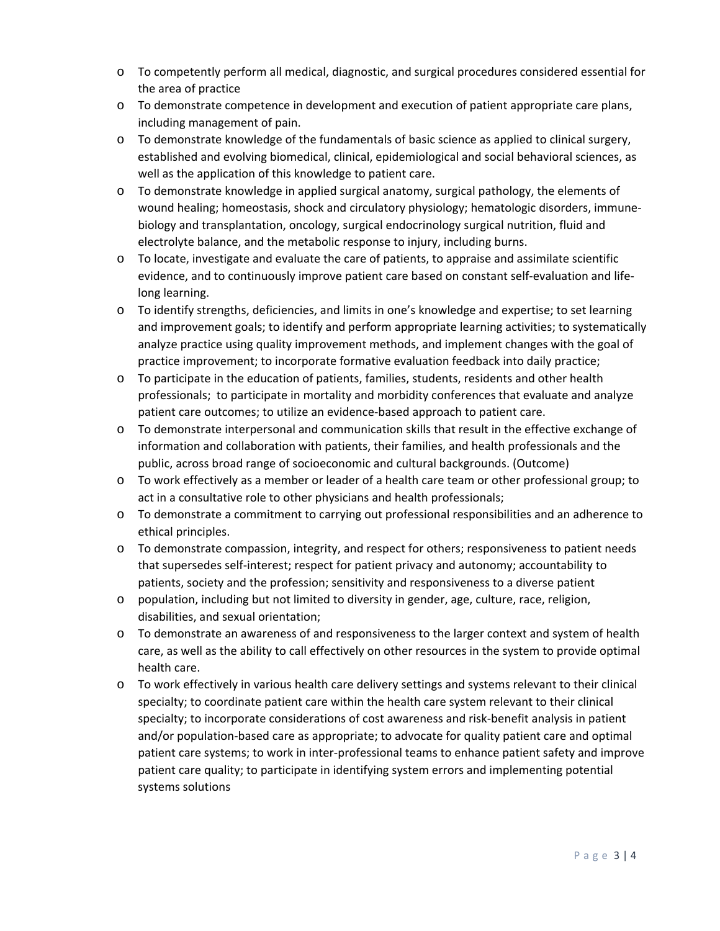- o To competently perform all medical, diagnostic, and surgical procedures considered essential for the area of practice
- o To demonstrate competence in development and execution of patient appropriate care plans, including management of pain.
- o To demonstrate knowledge of the fundamentals of basic science as applied to clinical surgery, established and evolving biomedical, clinical, epidemiological and social behavioral sciences, as well as the application of this knowledge to patient care.
- o To demonstrate knowledge in applied surgical anatomy, surgical pathology, the elements of wound healing; homeostasis, shock and circulatory physiology; hematologic disorders, immunebiology and transplantation, oncology, surgical endocrinology surgical nutrition, fluid and electrolyte balance, and the metabolic response to injury, including burns.
- o To locate, investigate and evaluate the care of patients, to appraise and assimilate scientific evidence, and to continuously improve patient care based on constant self-evaluation and lifelong learning.
- o To identify strengths, deficiencies, and limits in one's knowledge and expertise; to set learning and improvement goals; to identify and perform appropriate learning activities; to systematically analyze practice using quality improvement methods, and implement changes with the goal of practice improvement; to incorporate formative evaluation feedback into daily practice;
- o To participate in the education of patients, families, students, residents and other health professionals; to participate in mortality and morbidity conferences that evaluate and analyze patient care outcomes; to utilize an evidence‐based approach to patient care.
- o To demonstrate interpersonal and communication skills that result in the effective exchange of information and collaboration with patients, their families, and health professionals and the public, across broad range of socioeconomic and cultural backgrounds. (Outcome)
- o To work effectively as a member or leader of a health care team or other professional group; to act in a consultative role to other physicians and health professionals;
- o To demonstrate a commitment to carrying out professional responsibilities and an adherence to ethical principles.
- o To demonstrate compassion, integrity, and respect for others; responsiveness to patient needs that supersedes self‐interest; respect for patient privacy and autonomy; accountability to patients, society and the profession; sensitivity and responsiveness to a diverse patient
- o population, including but not limited to diversity in gender, age, culture, race, religion, disabilities, and sexual orientation;
- o To demonstrate an awareness of and responsiveness to the larger context and system of health care, as well as the ability to call effectively on other resources in the system to provide optimal health care.
- o To work effectively in various health care delivery settings and systems relevant to their clinical specialty; to coordinate patient care within the health care system relevant to their clinical specialty; to incorporate considerations of cost awareness and risk‐benefit analysis in patient and/or population‐based care as appropriate; to advocate for quality patient care and optimal patient care systems; to work in inter‐professional teams to enhance patient safety and improve patient care quality; to participate in identifying system errors and implementing potential systems solutions